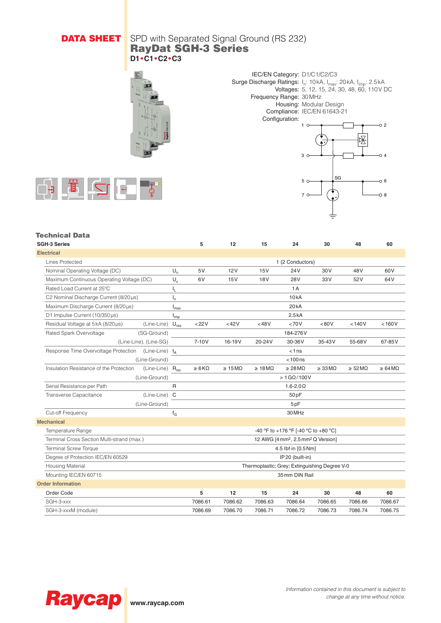## **DATA SHEET** SPD with Separated Signal Ground (RS 232) RayDat SGH-3 Series **D1•C1•C2•C3**



IEC/EN Category: D1/C1/C2/C3 Surge Discharge Ratings: I<sub>n</sub>: 10kA, I<sub>max</sub>: 20kA, I<sub>mp</sub>: 2.5kA Voltages: 5, 12, 15, 24, 30, 48, 60, 110V DC Frequency Range: 30MHz Housing: Modular Design Compliance: IEC/EN 61643-21 Configuration:  $-0.2$ 1 ℝ

3

7

 $5 \circ \rightarrow \frac{SS}{}$ 

 $\sim$  4

o R റ 8